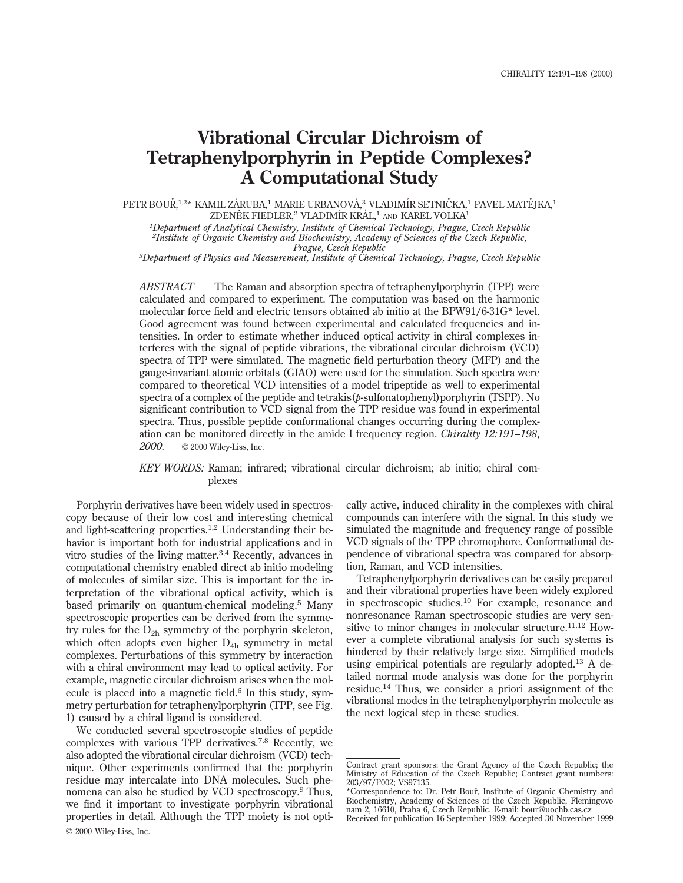# **Vibrational Circular Dichroism of Tetraphenylporphyrin in Peptide Complexes? A Computational Study**

PETR BOUŘ,1,2\* KAMIL ZÁRUBA,1 MARIE URBANOVÁ,3 VLADIMÍR SETNIČKA,1 PAVEL MATĚJKA,1 ZDENĚK FIEDLER,<sup>2</sup> VLADIMÍR KRÁL,<sup>1</sup> AND KAREL VOLKA<sup>1</sup>

*1Department of Analytical Chemistry, Institute of Chemical Technology, Prague, Czech Republic 2Institute of Organic Chemistry and Biochemistry, Academy of Sciences of the Czech Republic,*

*Prague, Czech Republic 3Department of Physics and Measurement, Institute of Chemical Technology, Prague, Czech Republic*

*ABSTRACT* The Raman and absorption spectra of tetraphenylporphyrin (TPP) were calculated and compared to experiment. The computation was based on the harmonic molecular force field and electric tensors obtained ab initio at the BPW91/6-31G\* level. Good agreement was found between experimental and calculated frequencies and intensities. In order to estimate whether induced optical activity in chiral complexes interferes with the signal of peptide vibrations, the vibrational circular dichroism (VCD) spectra of TPP were simulated. The magnetic field perturbation theory (MFP) and the gauge-invariant atomic orbitals (GIAO) were used for the simulation. Such spectra were compared to theoretical VCD intensities of a model tripeptide as well to experimental spectra of a complex of the peptide and tetrakis(*p*-sulfonatophenyl)porphyrin (TSPP). No significant contribution to VCD signal from the TPP residue was found in experimental spectra. Thus, possible peptide conformational changes occurring during the complexation can be monitored directly in the amide I frequency region. *Chirality 12:191–198, 2000.* © 2000 Wiley-Liss, Inc.

### *KEY WORDS:* Raman; infrared; vibrational circular dichroism; ab initio; chiral complexes

Porphyrin derivatives have been widely used in spectroscopy because of their low cost and interesting chemical and light-scattering properties.<sup>1,2</sup> Understanding their behavior is important both for industrial applications and in vitro studies of the living matter.<sup>3,4</sup> Recently, advances in computational chemistry enabled direct ab initio modeling of molecules of similar size. This is important for the interpretation of the vibrational optical activity, which is based primarily on quantum-chemical modeling.<sup>5</sup> Many spectroscopic properties can be derived from the symmetry rules for the  $D_{2h}$  symmetry of the porphyrin skeleton, which often adopts even higher  $D_{4h}$  symmetry in metal complexes. Perturbations of this symmetry by interaction with a chiral environment may lead to optical activity. For example, magnetic circular dichroism arises when the molecule is placed into a magnetic field.<sup>6</sup> In this study, symmetry perturbation for tetraphenylporphyrin (TPP, see Fig. 1) caused by a chiral ligand is considered.

We conducted several spectroscopic studies of peptide complexes with various TPP derivatives.7,8 Recently, we also adopted the vibrational circular dichroism (VCD) technique. Other experiments confirmed that the porphyrin residue may intercalate into DNA molecules. Such phenomena can also be studied by VCD spectroscopy.<sup>9</sup> Thus, we find it important to investigate porphyrin vibrational properties in detail. Although the TPP moiety is not opti-© 2000 Wiley-Liss, Inc.

cally active, induced chirality in the complexes with chiral compounds can interfere with the signal. In this study we simulated the magnitude and frequency range of possible VCD signals of the TPP chromophore. Conformational dependence of vibrational spectra was compared for absorption, Raman, and VCD intensities.

Tetraphenylporphyrin derivatives can be easily prepared and their vibrational properties have been widely explored in spectroscopic studies.<sup>10</sup> For example, resonance and nonresonance Raman spectroscopic studies are very sensitive to minor changes in molecular structure.<sup>11,12</sup> However a complete vibrational analysis for such systems is hindered by their relatively large size. Simplified models using empirical potentials are regularly adopted.<sup>13</sup> A detailed normal mode analysis was done for the porphyrin residue.14 Thus, we consider a priori assignment of the vibrational modes in the tetraphenylporphyrin molecule as the next logical step in these studies.

Contract grant sponsors: the Grant Agency of the Czech Republic; the Ministry of Education of the Czech Republic; Contract grant numbers: 203/97/P002; VS97135.

<sup>\*</sup>Correspondence to: Dr. Petr Bourˇ, Institute of Organic Chemistry and Biochemistry, Academy of Sciences of the Czech Republic, Flemingovo nam 2, 16610, Praha 6, Czech Republic. E-mail: bour@uochb.cas.cz Received for publication 16 September 1999; Accepted 30 November 1999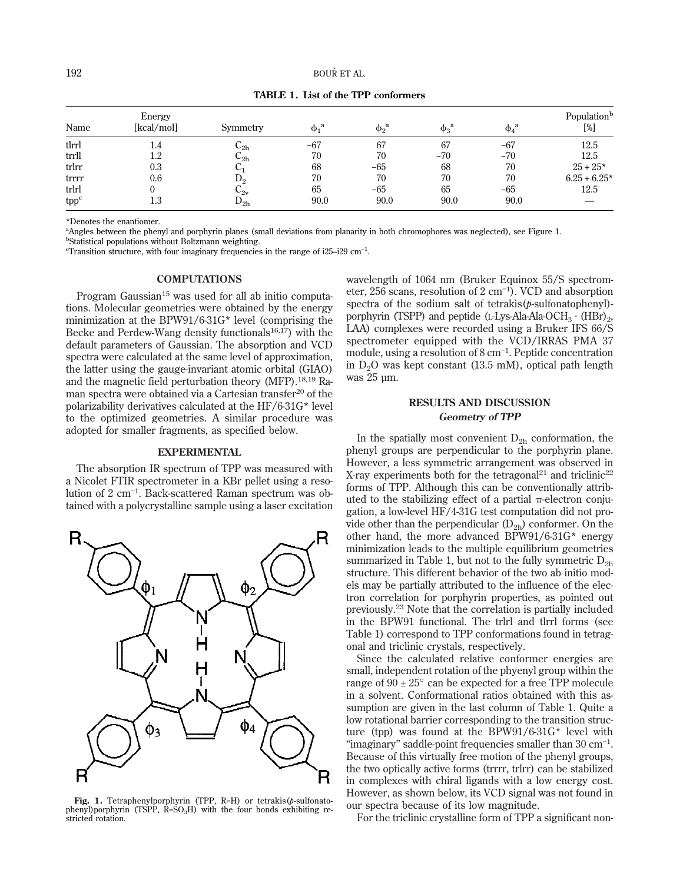|       | Energy     |                                 |              |                |                |                | Population <sup>b</sup> |
|-------|------------|---------------------------------|--------------|----------------|----------------|----------------|-------------------------|
| Name  | [kcal/mol] | Symmetry                        | $\phi_1{}^a$ | $\phi_2^{\ a}$ | $\phi_3^{\ a}$ | $\phi_4^{\ a}$ | $[\%]$                  |
| tlrrl | 1.4        | $\mathsf{\omega}_{2\mathtt{h}}$ | $-67$        | 67             | 67             | $-67$          | 12.5                    |
| trrll | $^{1.2}$   | $\mathsf{C_{2h}}$               | 70           | 70             | $-70$          | $-70$          | 12.5                    |
| trlrr | 0.3        |                                 | 68           | $-65$          | 68             | 70             | $25 + 25*$              |
| trrrr | 0.6        | $D_2$                           | 70           | 70             | 70             | 70             | $6.25 + 6.25*$          |
| trlrl |            | $\mathsf{L}_{2\mathrm{v}}$      | 65           | $-65$          | 65             | $-65$          | 12.5                    |
| tppc  | $_{1.3}$   | ${\rm D_{2h}}$                  | 90.0         | 90.0           | 90.0           | 90.0           |                         |

**TABLE 1. List of the TPP conformers**

\*Denotes the enantiomer.

a Angles between the phenyl and porphyrin planes (small deviations from planarity in both chromophores was neglected), see Figure 1.

b Statistical populations without Boltzmann weighting.

 $\text{``Transformation structure, with four imaginary frequencies in the range of } i25-i29 \text{ cm}^{-1}.$ 

#### **COMPUTATIONS**

Program Gaussian<sup>15</sup> was used for all ab initio computations. Molecular geometries were obtained by the energy minimization at the BPW91/6-31G\* level (comprising the Becke and Perdew-Wang density functionals<sup>16,17</sup>) with the default parameters of Gaussian. The absorption and VCD spectra were calculated at the same level of approximation, the latter using the gauge-invariant atomic orbital (GIAO) and the magnetic field perturbation theory (MFP).18,19 Raman spectra were obtained via a Cartesian transfer<sup>20</sup> of the polarizability derivatives calculated at the HF/6-31G\* level to the optimized geometries. A similar procedure was adopted for smaller fragments, as specified below.

#### **EXPERIMENTAL**

The absorption IR spectrum of TPP was measured with a Nicolet FTIR spectrometer in a KBr pellet using a resolution of 2 cm−1 . Back-scattered Raman spectrum was obtained with a polycrystalline sample using a laser excitation



**Fig. 1.** Tetraphenylporphyrin (TPP, R=H) or tetrakis(*p*-sulfonatophenyl)porphyrin (TSPP,  $\hat{R}$ =SO<sub>3</sub>H) with the four bonds exhibiting restricted rotation.

wavelength of 1064 nm (Bruker Equinox 55/S spectrometer, 256 scans, resolution of 2 cm−1 ). VCD and absorption spectra of the sodium salt of tetrakis(*p*-sulfonatophenyl) porphyrin (TSPP) and peptide (L-Lys-Ala-Ala-OCH<sub>3</sub>  $\cdot$  (HBr)<sub>2</sub>, LAA) complexes were recorded using a Bruker IFS 66/S spectrometer equipped with the VCD/IRRAS PMA 37 module, using a resolution of 8 cm<sup>-1</sup>. Peptide concentration in  $D_2O$  was kept constant (13.5 mM), optical path length was 25 µm.

## **RESULTS AND DISCUSSION Geometry of TPP**

In the spatially most convenient  $D_{2h}$  conformation, the phenyl groups are perpendicular to the porphyrin plane. However, a less symmetric arrangement was observed in X-ray experiments both for the tetragonal<sup>21</sup> and triclinic<sup>22</sup> forms of TPP. Although this can be conventionally attributed to the stabilizing effect of a partial  $\pi$ -electron conjugation, a low-level HF/4-31G test computation did not provide other than the perpendicular  $(D_{2h})$  conformer. On the other hand, the more advanced BPW91/6-31G\* energy minimization leads to the multiple equilibrium geometries summarized in Table 1, but not to the fully symmetric  $D_{2h}$ structure. This different behavior of the two ab initio models may be partially attributed to the influence of the electron correlation for porphyrin properties, as pointed out previously.<sup>23</sup> Note that the correlation is partially included in the BPW91 functional. The trlrl and tlrrl forms (see Table 1) correspond to TPP conformations found in tetragonal and triclinic crystals, respectively.

Since the calculated relative conformer energies are small, independent rotation of the phyenyl group within the range of  $90 \pm 25^{\circ}$  can be expected for a free TPP molecule in a solvent. Conformational ratios obtained with this assumption are given in the last column of Table 1. Quite a low rotational barrier corresponding to the transition structure (tpp) was found at the BPW91/6-31G\* level with "imaginary" saddle-point frequencies smaller than 30 cm−1 . Because of this virtually free motion of the phenyl groups, the two optically active forms (trrrr, trlrr) can be stabilized in complexes with chiral ligands with a low energy cost. However, as shown below, its VCD signal was not found in our spectra because of its low magnitude.

For the triclinic crystalline form of TPP a significant non-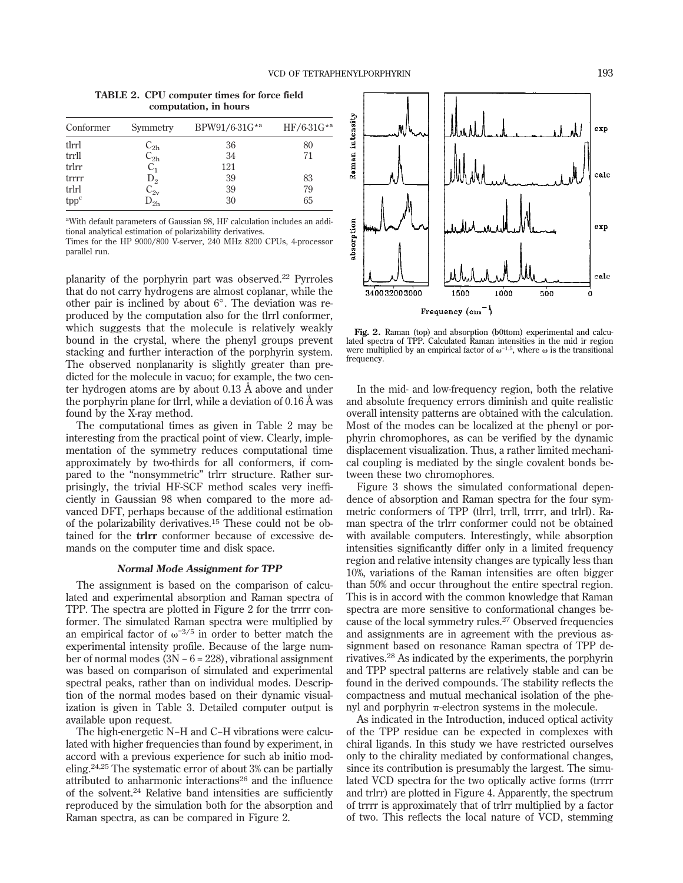**TABLE 2. CPU computer times for force field computation, in hours**

| Conformer | Symmetry                              | BPW91/6-31G*a | $HF/6-31G^{*a}$ |
|-----------|---------------------------------------|---------------|-----------------|
| tlrrl     | $\text{\rm C}_{\text{2h}}$            | 36            | 80              |
| trrll     | $C_{2h}$                              | 34            | 71              |
| trlrr     | $C_1$                                 | 121           |                 |
| trrrr     |                                       | 39            | 83              |
| trlrl     | $D_2$<br>$C_{2v}$                     | 39            | 79              |
| tppc      | $\overline{\mathrm{D}}_{2\mathrm{h}}$ | 30            | 65              |

a With default parameters of Gaussian 98, HF calculation includes an additional analytical estimation of polarizability derivatives.

Times for the HP 9000/800 V-server, 240 MHz 8200 CPUs, 4-processor parallel run.

planarity of the porphyrin part was observed.<sup>22</sup> Pyrroles that do not carry hydrogens are almost coplanar, while the other pair is inclined by about 6°. The deviation was reproduced by the computation also for the tlrrl conformer, which suggests that the molecule is relatively weakly bound in the crystal, where the phenyl groups prevent stacking and further interaction of the porphyrin system. The observed nonplanarity is slightly greater than predicted for the molecule in vacuo; for example, the two center hydrogen atoms are by about 0.13 Å above and under the porphyrin plane for tlrrl, while a deviation of 0.16 Å was found by the X-ray method.

The computational times as given in Table 2 may be interesting from the practical point of view. Clearly, implementation of the symmetry reduces computational time approximately by two-thirds for all conformers, if compared to the "nonsymmetric" trlrr structure. Rather surprisingly, the trivial HF-SCF method scales very inefficiently in Gaussian 98 when compared to the more advanced DFT, perhaps because of the additional estimation of the polarizability derivatives.<sup>15</sup> These could not be obtained for the **trlrr** conformer because of excessive demands on the computer time and disk space.

#### **Normal Mode Assignment for TPP**

The assignment is based on the comparison of calculated and experimental absorption and Raman spectra of TPP. The spectra are plotted in Figure 2 for the trrrr conformer. The simulated Raman spectra were multiplied by an empirical factor of  $\omega^{-3/5}$  in order to better match the experimental intensity profile. Because of the large number of normal modes (3N−6= 228), vibrational assignment was based on comparison of simulated and experimental spectral peaks, rather than on individual modes. Description of the normal modes based on their dynamic visualization is given in Table 3. Detailed computer output is available upon request.

The high-energetic N−H and C−H vibrations were calculated with higher frequencies than found by experiment, in accord with a previous experience for such ab initio modeling.24,25 The systematic error of about 3% can be partially attributed to anharmonic interactions $26$  and the influence of the solvent.24 Relative band intensities are sufficiently reproduced by the simulation both for the absorption and Raman spectra, as can be compared in Figure 2.



**Fig. 2.** Raman (top) and absorption (b0ttom) experimental and calculated spectra of TPP. Calculated Raman intensities in the mid ir region were multiplied by an empirical factor of  $\omega^{-1.5}$ , where  $\omega$  is the transitional frequency.

In the mid- and low-frequency region, both the relative and absolute frequency errors diminish and quite realistic overall intensity patterns are obtained with the calculation. Most of the modes can be localized at the phenyl or porphyrin chromophores, as can be verified by the dynamic displacement visualization. Thus, a rather limited mechanical coupling is mediated by the single covalent bonds between these two chromophores.

Figure 3 shows the simulated conformational dependence of absorption and Raman spectra for the four symmetric conformers of TPP (tlrrl, trrll, trrrr, and trlrl). Raman spectra of the trlrr conformer could not be obtained with available computers. Interestingly, while absorption intensities significantly differ only in a limited frequency region and relative intensity changes are typically less than 10%, variations of the Raman intensities are often bigger than 50% and occur throughout the entire spectral region. This is in accord with the common knowledge that Raman spectra are more sensitive to conformational changes because of the local symmetry rules.<sup>27</sup> Observed frequencies and assignments are in agreement with the previous assignment based on resonance Raman spectra of TPP derivatives.<sup>28</sup> As indicated by the experiments, the porphyrin and TPP spectral patterns are relatively stable and can be found in the derived compounds. The stability reflects the compactness and mutual mechanical isolation of the phenyl and porphyrin  $\pi$ -electron systems in the molecule.

As indicated in the Introduction, induced optical activity of the TPP residue can be expected in complexes with chiral ligands. In this study we have restricted ourselves only to the chirality mediated by conformational changes, since its contribution is presumably the largest. The simulated VCD spectra for the two optically active forms (trrrr and trlrr) are plotted in Figure 4. Apparently, the spectrum of trrrr is approximately that of trlrr multiplied by a factor of two. This reflects the local nature of VCD, stemming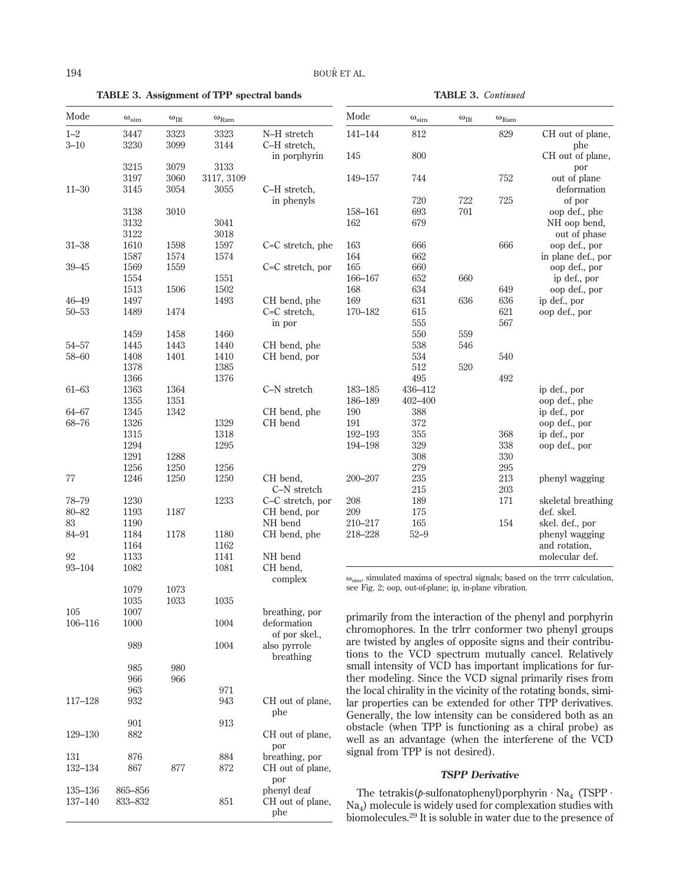**TABLE 3. Assignment of TPP spectral bands**

**TABLE 3.** *Continued*

| Mode                   | $\omega_{\text{sim}}$ | $\omega_{\rm IR}$ | $\omega_{\rm Ram}$ |                                 | Mode           | $\omega_{\text{sim}}$                                  | $\omega_{\rm IR}$      | $\omega_{\rm Ram}$ |                                                                                                                                            |
|------------------------|-----------------------|-------------------|--------------------|---------------------------------|----------------|--------------------------------------------------------|------------------------|--------------------|--------------------------------------------------------------------------------------------------------------------------------------------|
| $1 - 2$                | 3447                  | 3323              | 3323               | N-H stretch                     | $141 - 144$    | $812\,$                                                |                        | 829                | CH out of plane,                                                                                                                           |
| $3 - 10$               | 3230                  | 3099              | 3144               | C-H stretch,                    |                |                                                        |                        |                    | phe                                                                                                                                        |
|                        | 3215                  | 3079              | 3133               | in porphyrin                    | 145            | 800                                                    |                        |                    | CH out of plane,<br>por                                                                                                                    |
|                        | 3197                  | 3060              | 3117, 3109         |                                 | 149-157        | 744                                                    |                        | 752                | out of plane                                                                                                                               |
| $11 - 30$              | 3145                  | 3054              | 3055               | C-H stretch,                    |                |                                                        |                        |                    | deformation                                                                                                                                |
|                        |                       |                   |                    | in phenyls                      |                | 720                                                    | 722                    | 725                | of por                                                                                                                                     |
|                        | 3138                  | 3010              |                    |                                 | 158-161        | 693                                                    | 701                    |                    | oop def., phe                                                                                                                              |
|                        | 3132                  |                   | 3041               |                                 | 162            | 679                                                    |                        |                    | NH oop bend,                                                                                                                               |
|                        | 3122                  |                   | 3018<br>1597       |                                 | 163            |                                                        |                        | 666                | out of phase<br>oop def., por                                                                                                              |
| $31 - 38$              | 1610<br>1587          | 1598<br>1574      | 1574               | C=C stretch, phe                | 164            | 666<br>662                                             |                        |                    | in plane def., por                                                                                                                         |
| $39 - 45$              | 1569                  | 1559              |                    | C=C stretch, por                | 165            | 660                                                    |                        |                    | oop def., por                                                                                                                              |
|                        | 1554                  |                   | 1551               |                                 | 166-167        | 652                                                    | 660                    |                    | ip def., por                                                                                                                               |
|                        | 1513                  | 1506              | 1502               |                                 | 168            | 634                                                    |                        | 649                | oop def., por                                                                                                                              |
| $46 - 49$              | 1497                  |                   | 1493               | CH bend, phe                    | 169            | 631                                                    | 636                    | 636                | ip def., por                                                                                                                               |
| $50 - 53$              | 1489                  | 1474              |                    | C=C stretch,                    | 170-182        | 615                                                    |                        | 621                | oop def., por                                                                                                                              |
|                        |                       |                   | 1460               | in por                          |                | 555<br>550                                             | 559                    | 567                |                                                                                                                                            |
| $54 - 57$              | 1459<br>1445          | 1458<br>1443      | 1440               | CH bend, phe                    |                | 538                                                    | 546                    |                    |                                                                                                                                            |
| $58 - 60$              | 1408                  | 1401              | 1410               | CH bend, por                    |                | 534                                                    |                        | 540                |                                                                                                                                            |
|                        | 1378                  |                   | 1385               |                                 |                | 512                                                    | 520                    |                    |                                                                                                                                            |
|                        | 1366                  |                   | 1376               |                                 |                | 495                                                    |                        | 492                |                                                                                                                                            |
| $61 - 63$              | 1363                  | 1364              |                    | C-N stretch                     | 183-185        | 436-412                                                |                        |                    | ip def., por                                                                                                                               |
|                        | 1355                  | 1351              |                    |                                 | 186-189        | 402-400                                                |                        |                    | oop def., phe                                                                                                                              |
| $64 - 67$              | 1345                  | 1342              |                    | CH bend, phe                    | 190            | 388                                                    |                        |                    | ip def., por                                                                                                                               |
| 68-76                  | 1326<br>1315          |                   | 1329<br>1318       | CH bend                         | 191<br>192-193 | 372<br>355                                             |                        | 368                | oop def., por<br>ip def., por                                                                                                              |
|                        | 1294                  |                   | 1295               |                                 | 194-198        | 329                                                    |                        | 338                | oop def., por                                                                                                                              |
|                        | 1291                  | 1288              |                    |                                 |                | 308                                                    |                        | 330                |                                                                                                                                            |
|                        | 1256                  | 1250              | 1256               |                                 |                | 279                                                    |                        | 295                |                                                                                                                                            |
| 77                     | 1246                  | 1250              | 1250               | CH bend,                        | 200-207        | 235                                                    |                        | 213                | phenyl wagging                                                                                                                             |
|                        |                       |                   |                    | C-N stretch                     |                | 215                                                    |                        | 203                |                                                                                                                                            |
| 78-79                  | 1230                  |                   | 1233               | C-C stretch, por                | 208            | 189                                                    |                        | 171                | skeletal breathing                                                                                                                         |
| $80 - 82$<br>83        | 1193<br>1190          | 1187              |                    | CH bend, por<br>NH bend         | 209<br>210-217 | 175<br>165                                             |                        | 154                | def. skel.<br>skel. def., por                                                                                                              |
| 84-91                  | 1184                  | 1178              | 1180               | CH bend, phe                    | 218-228        | $52 - 9$                                               |                        |                    | phenyl wagging                                                                                                                             |
|                        | 1164                  |                   | 1162               |                                 |                |                                                        |                        |                    | and rotation,                                                                                                                              |
| 92                     | 1133                  |                   | 1141               | NH bend                         |                |                                                        |                        |                    | molecular def.                                                                                                                             |
| 93-104                 | 1082                  |                   | $1081\,$           | CH bend,                        |                |                                                        |                        |                    |                                                                                                                                            |
|                        |                       |                   |                    | complex                         |                | see Fig. 2; oop, out-of-plane; ip, in-plane vibration. |                        |                    | $\omega_{\rm sim}$ simulated maxima of spectral signals; based on the trrrr calculation,                                                   |
|                        | 1079                  | 1073              |                    |                                 |                |                                                        |                        |                    |                                                                                                                                            |
| 105                    | 1035<br>1007          | 1033              | $1035\,$           | breathing, por                  |                |                                                        |                        |                    |                                                                                                                                            |
| 106-116                | 1000                  |                   | 1004               | deformation                     |                |                                                        |                        |                    | primarily from the interaction of the phenyl and porphyrin<br>chromophores. In the trlrr conformer two phenyl groups                       |
|                        | 989                   |                   | 1004               | of por skel.,<br>also pyrrole   |                |                                                        |                        |                    | are twisted by angles of opposite signs and their contribu-                                                                                |
|                        |                       |                   |                    | breathing                       |                |                                                        |                        |                    | tions to the VCD spectrum mutually cancel. Relatively                                                                                      |
|                        | 985                   | 980               |                    |                                 |                |                                                        |                        |                    | small intensity of VCD has important implications for fur-                                                                                 |
|                        | 966                   | 966               |                    |                                 |                |                                                        |                        |                    | ther modeling. Since the VCD signal primarily rises from                                                                                   |
|                        | 963                   |                   | 971                |                                 |                |                                                        |                        |                    | the local chirality in the vicinity of the rotating bonds, simi-                                                                           |
| 117-128                | 932                   |                   | 943                | CH out of plane,                |                |                                                        |                        |                    | lar properties can be extended for other TPP derivatives.                                                                                  |
|                        | 901                   |                   | 913                | phe                             |                |                                                        |                        |                    | Generally, the low intensity can be considered both as an                                                                                  |
| 129-130                | 882                   |                   |                    | CH out of plane,                |                |                                                        |                        |                    | obstacle (when TPP is functioning as a chiral probe) as                                                                                    |
|                        |                       |                   |                    | por                             |                |                                                        |                        |                    | well as an advantage (when the interferene of the VCD                                                                                      |
| 131                    | 876                   |                   | 884                | breathing, por                  |                | signal from TPP is not desired).                       |                        |                    |                                                                                                                                            |
| 132-134                | 867                   | 877               | 872                | CH out of plane,                |                |                                                        | <b>TSPP</b> Derivative |                    |                                                                                                                                            |
|                        |                       |                   |                    | por                             |                |                                                        |                        |                    |                                                                                                                                            |
| 135-136<br>$137 - 140$ | 865-856<br>833-832    |                   | 851                | phenyl deaf<br>CH out of plane, |                |                                                        |                        |                    | The tetrakis( $p$ -sulfonatophenyl) porphyrin $\cdot$ Na <sub>4</sub> (TSPP $\cdot$                                                        |
|                        |                       |                   |                    | phe                             |                |                                                        |                        |                    | $Na4$ ) molecule is widely used for complexation studies with<br>biomolecules. <sup>29</sup> It is soluble in water due to the presence of |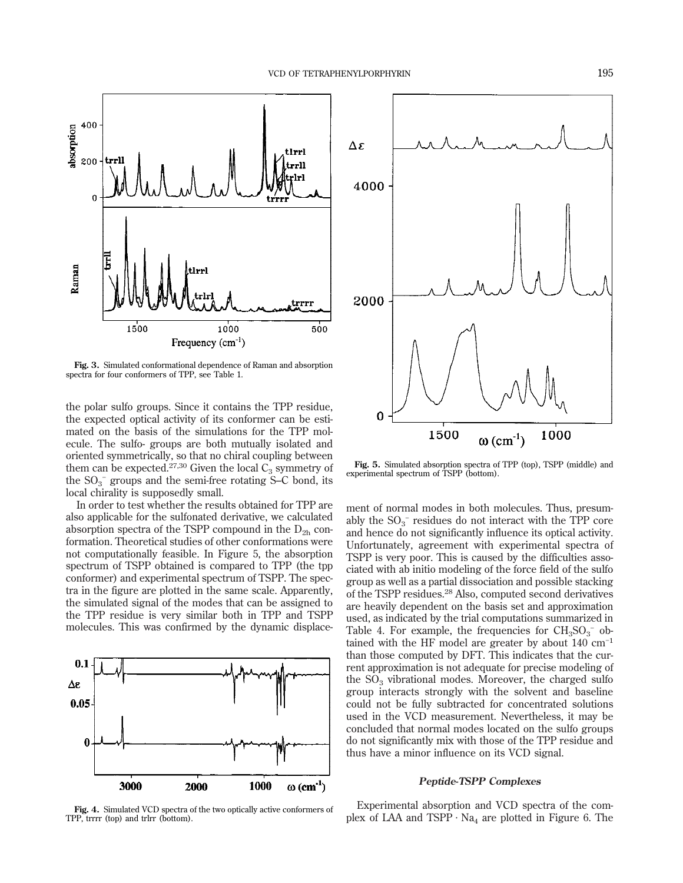

**Fig. 3.** Simulated conformational dependence of Raman and absorption spectra for four conformers of TPP, see Table 1.

the polar sulfo groups. Since it contains the TPP residue, the expected optical activity of its conformer can be estimated on the basis of the simulations for the TPP molecule. The sulfo- groups are both mutually isolated and oriented symmetrically, so that no chiral coupling between them can be expected.<sup>27,30</sup> Given the local  $C_3$  symmetry of the  $SO_3^-$  groups and the semi-free rotating S–C bond, its local chirality is supposedly small.

In order to test whether the results obtained for TPP are also applicable for the sulfonated derivative, we calculated absorption spectra of the TSPP compound in the  $D_{2h}$  conformation. Theoretical studies of other conformations were not computationally feasible. In Figure 5, the absorption spectrum of TSPP obtained is compared to TPP (the tpp conformer) and experimental spectrum of TSPP. The spectra in the figure are plotted in the same scale. Apparently, the simulated signal of the modes that can be assigned to the TPP residue is very similar both in TPP and TSPP molecules. This was confirmed by the dynamic displace-

![](_page_4_Figure_5.jpeg)

**Fig. 4.** Simulated VCD spectra of the two optically active conformers of TPP, trrrr (top) and trlrr (bottom).

![](_page_4_Figure_7.jpeg)

**Fig. 5.** Simulated absorption spectra of TPP (top), TSPP (middle) and experimental spectrum of TSPP (bottom).

ment of normal modes in both molecules. Thus, presumably the  $SO_3^-$  residues do not interact with the TPP core and hence do not significantly influence its optical activity. Unfortunately, agreement with experimental spectra of TSPP is very poor. This is caused by the difficulties associated with ab initio modeling of the force field of the sulfo group as well as a partial dissociation and possible stacking of the TSPP residues.<sup>28</sup> Also, computed second derivatives are heavily dependent on the basis set and approximation used, as indicated by the trial computations summarized in Table 4. For example, the frequencies for  $CH<sub>3</sub>SO<sub>3</sub><sup>-</sup>$  obtained with the HF model are greater by about  $140 \text{ cm}^{-1}$ than those computed by DFT. This indicates that the current approximation is not adequate for precise modeling of the  $SO<sub>3</sub>$  vibrational modes. Moreover, the charged sulfo group interacts strongly with the solvent and baseline could not be fully subtracted for concentrated solutions used in the VCD measurement. Nevertheless, it may be concluded that normal modes located on the sulfo groups do not significantly mix with those of the TPP residue and thus have a minor influence on its VCD signal.

#### **Peptide-TSPP Complexes**

Experimental absorption and VCD spectra of the complex of LAA and TSPP  $\cdot$  Na<sub>4</sub> are plotted in Figure 6. The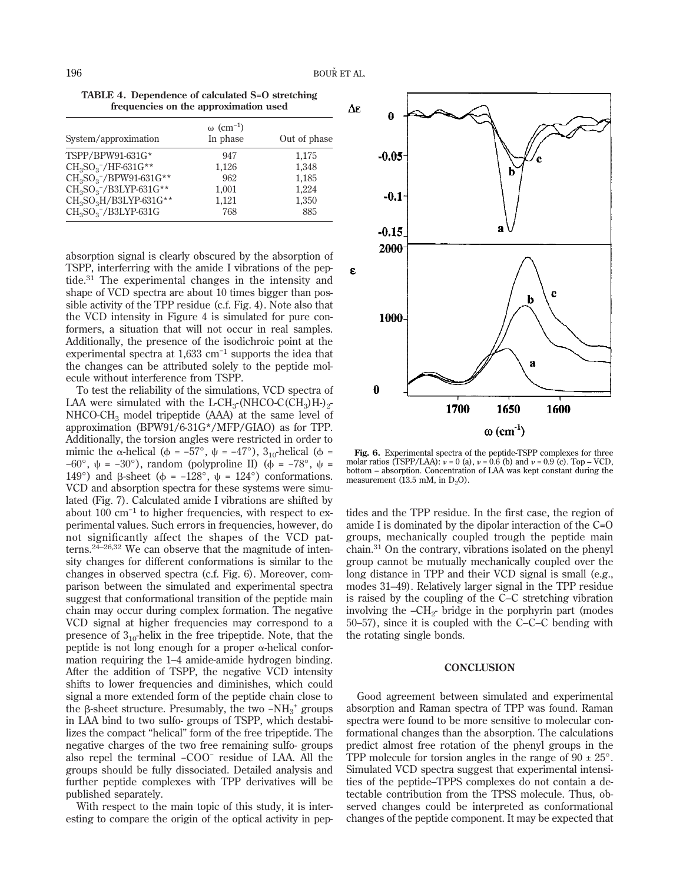**TABLE 4. Dependence of calculated S=O stretching frequencies on the approximation used**

| System/approximation                           | $\omega$ (cm <sup>-1</sup> )<br>In phase | Out of phase |
|------------------------------------------------|------------------------------------------|--------------|
| TSPP/BPW91-631G*                               | 947                                      | 1,175        |
| $CH_3SO_3^-/HF$ -631G**                        | 1,126                                    | 1,348        |
| $CH_3SO_3^- / BPW91-631G^{**}$                 | 962                                      | 1,185        |
| $CH_3SO_3^-$ /B3LYP-631G**                     | 1.001                                    | 1.224        |
| CH <sub>3</sub> SO <sub>3</sub> H/B3LYP-631G** | 1.121                                    | 1,350        |
| $CH3SO3-/B3LYP-631G$                           | 768                                      | 885          |

absorption signal is clearly obscured by the absorption of TSPP, interferring with the amide I vibrations of the peptide.<sup>31</sup> The experimental changes in the intensity and shape of VCD spectra are about 10 times bigger than possible activity of the TPP residue (c.f. Fig. 4). Note also that the VCD intensity in Figure 4 is simulated for pure conformers, a situation that will not occur in real samples. Additionally, the presence of the isodichroic point at the experimental spectra at 1,633 cm−1 supports the idea that the changes can be attributed solely to the peptide molecule without interference from TSPP.

To test the reliability of the simulations, VCD spectra of LAA were simulated with the L-CH<sub>3</sub>-(NHCO-C(CH<sub>3</sub>)H-)<sub>2</sub>-NHCO-CH3 model tripeptide (AAA) at the same level of approximation (BPW91/6-31G\*/MFP/GIAO) as for TPP. Additionally, the torsion angles were restricted in order to mimic the  $\alpha$ -helical ( $\phi = -57^{\circ}$ ,  $\psi = -47^{\circ}$ ), 3<sub>10</sub>-helical ( $\phi =$  $-60^{\circ}$ ,  $\psi = -30^{\circ}$ ), random (polyproline II) ( $\phi = -78^{\circ}$ ,  $\psi =$ 149°) and  $\beta$ -sheet ( $\phi = -128^\circ$ ,  $\psi = 124^\circ$ ) conformations. VCD and absorption spectra for these systems were simulated (Fig. 7). Calculated amide I vibrations are shifted by about 100 cm−1 to higher frequencies, with respect to experimental values. Such errors in frequencies, however, do not significantly affect the shapes of the VCD patterns. $24-26,32$  We can observe that the magnitude of intensity changes for different conformations is similar to the changes in observed spectra (c.f. Fig. 6). Moreover, comparison between the simulated and experimental spectra suggest that conformational transition of the peptide main chain may occur during complex formation. The negative VCD signal at higher frequencies may correspond to a presence of  $3_{10}$ -helix in the free tripeptide. Note, that the peptide is not long enough for a proper  $\alpha$ -helical conformation requiring the 1–4 amide-amide hydrogen binding. After the addition of TSPP, the negative VCD intensity shifts to lower frequencies and diminishes, which could signal a more extended form of the peptide chain close to the β-sheet structure. Presumably, the two -NH<sub>3</sub><sup>+</sup> groups in LAA bind to two sulfo- groups of TSPP, which destabilizes the compact "helical" form of the free tripeptide. The negative charges of the two free remaining sulfo- groups also repel the terminal −COO<sup>−</sup> residue of LAA. All the groups should be fully dissociated. Detailed analysis and further peptide complexes with TPP derivatives will be published separately.

With respect to the main topic of this study, it is interesting to compare the origin of the optical activity in pep-

![](_page_5_Figure_6.jpeg)

**Fig. 6.** Experimental spectra of the peptide-TSPP complexes for three molar ratios  $(TSPP/LAA): \nu = 0$  (a),  $\nu = 0.6$  (b) and  $\nu = 0.9$  (c). Top – VCD, bottom – absorption. Concentration of LAA was kept constant during the measurement  $(13.5 \text{ mM}, \text{ in } D_2O)$ .

tides and the TPP residue. In the first case, the region of amide I is dominated by the dipolar interaction of the C=O groups, mechanically coupled trough the peptide main chain.<sup>31</sup> On the contrary, vibrations isolated on the phenyl group cannot be mutually mechanically coupled over the long distance in TPP and their VCD signal is small (e.g., modes 31–49). Relatively larger signal in the TPP residue is raised by the coupling of the C–C stretching vibration involving the  $-CH<sub>2</sub>$ - bridge in the porphyrin part (modes 50–57), since it is coupled with the C–C–C bending with the rotating single bonds.

#### **CONCLUSION**

Good agreement between simulated and experimental absorption and Raman spectra of TPP was found. Raman spectra were found to be more sensitive to molecular conformational changes than the absorption. The calculations predict almost free rotation of the phenyl groups in the TPP molecule for torsion angles in the range of  $90 \pm 25^{\circ}$ . Simulated VCD spectra suggest that experimental intensities of the peptide–TPPS complexes do not contain a detectable contribution from the TPSS molecule. Thus, observed changes could be interpreted as conformational changes of the peptide component. It may be expected that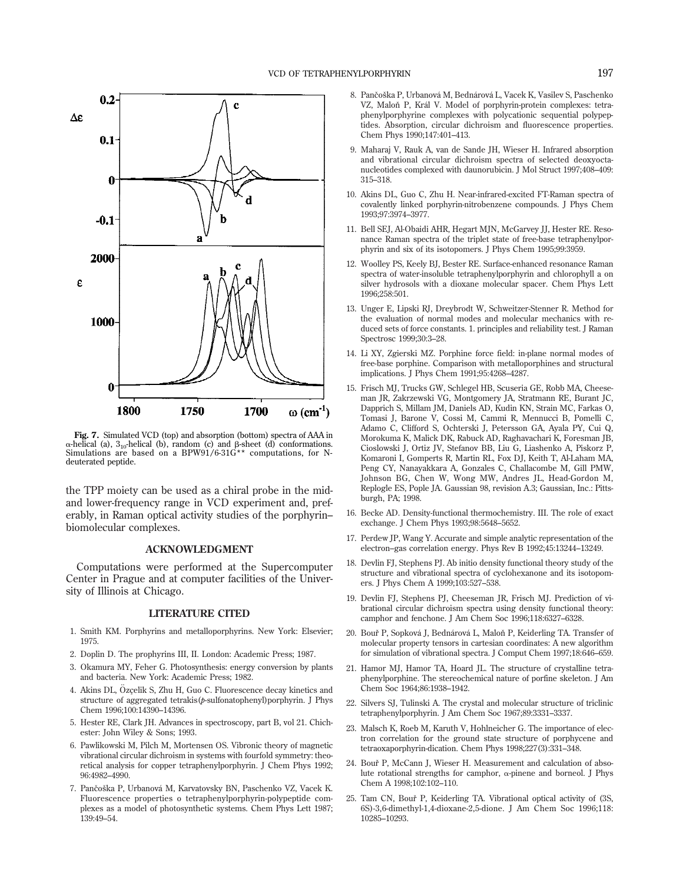![](_page_6_Figure_1.jpeg)

**Fig. 7.** Simulated VCD (top) and absorption (bottom) spectra of AAA in α-helical (a), 3<sub>10</sub>-helical (b), random (c) and β-sheet (d) conformations.<br>Simulations are based on a BPW91/6-31G\*\* computations, for Ndeuterated peptide.

the TPP moiety can be used as a chiral probe in the midand lower-frequency range in VCD experiment and, preferably, in Raman optical activity studies of the porphyrin– biomolecular complexes.

#### **ACKNOWLEDGMENT**

Computations were performed at the Supercomputer Center in Prague and at computer facilities of the University of Illinois at Chicago.

#### **LITERATURE CITED**

- 1. Smith KM. Porphyrins and metalloporphyrins. New York: Elsevier; 1975.
- 2. Doplin D. The prophyrins III, II. London: Academic Press; 1987.
- 3. Okamura MY, Feher G. Photosynthesis: energy conversion by plants and bacteria. New York: Academic Press; 1982.
- 4. Akins DL, Ozçelik S, Zhu H, Guo C. Fluorescence decay kinetics and structure of aggregated tetrakis(*p*-sulfonatophenyl)porphyrin. J Phys Chem 1996;100:14390–14396.
- 5. Hester RE, Clark JH. Advances in spectroscopy, part B, vol 21. Chichester: John Wiley & Sons; 1993.
- 6. Pawlikowski M, Pilch M, Mortensen OS. Vibronic theory of magnetic vibrational circular dichroism in systems with fourfold symmetry: theoretical analysis for copper tetraphenylporphyrin. J Chem Phys 1992; 96:4982–4990.
- 7. Pančoška P, Urbanová M, Karvatovsky BN, Paschenko VZ, Vacek K. Fluorescence properties o tetraphenylporphyrin-polypeptide complexes as a model of photosynthetic systems. Chem Phys Lett 1987; 139:49–54.
- 8. Pančoška P, Urbanová M, Bednárová L, Vacek K, Vasilev S, Paschenko VZ, Maloň P, Král V. Model of porphyrin-protein complexes: tetraphenylporphyrine complexes with polycationic sequential polypeptides. Absorption, circular dichroism and fluorescence properties. Chem Phys 1990;147:401–413.
- 9. Maharaj V, Rauk A, van de Sande JH, Wieser H. Infrared absorption and vibrational circular dichroism spectra of selected deoxyoctanucleotides complexed with daunorubicin. J Mol Struct 1997;408–409: 315–318.
- 10. Akins DL, Guo C, Zhu H. Near-infrared-excited FT-Raman spectra of covalently linked porphyrin-nitrobenzene compounds. J Phys Chem 1993;97:3974–3977.
- 11. Bell SEJ, Al-Obaidi AHR, Hegart MJN, McGarvey JJ, Hester RE. Resonance Raman spectra of the triplet state of free-base tetraphenylporphyrin and six of its isotopomers. J Phys Chem 1995;99:3959.
- 12. Woolley PS, Keely BJ, Bester RE. Surface-enhanced resonance Raman spectra of water-insoluble tetraphenylporphyrin and chlorophyll a on silver hydrosols with a dioxane molecular spacer. Chem Phys Lett 1996;258:501.
- 13. Unger E, Lipski RJ, Dreybrodt W, Schweitzer-Stenner R. Method for the evaluation of normal modes and molecular mechanics with reduced sets of force constants. 1. principles and reliability test. J Raman Spectrosc 1999;30:3–28.
- 14. Li XY, Zgierski MZ. Porphine force field: in-plane normal modes of free-base porphine. Comparison with metalloporphines and structural implications. J Phys Chem 1991;95:4268–4287.
- 15. Frisch MJ, Trucks GW, Schlegel HB, Scuseria GE, Robb MA, Cheeseman JR, Zakrzewski VG, Montgomery JA, Stratmann RE, Burant JC, Dapprich S, Millam JM, Daniels AD, Kudin KN, Strain MC, Farkas O, Tomasi J, Barone V, Cossi M, Cammi R, Mennucci B, Pomelli C, Adamo C, Clifford S, Ochterski J, Petersson GA, Ayala PY, Cui Q, Morokuma K, Malick DK, Rabuck AD, Raghavachari K, Foresman JB, Cioslowski J, Ortiz JV, Stefanov BB, Liu G, Liashenko A, Piskorz P, Komaroni I, Gomperts R, Martin RL, Fox DJ, Keith T, Al-Laham MA, Peng CY, Nanayakkara A, Gonzales C, Challacombe M, Gill PMW, Johnson BG, Chen W, Wong MW, Andres JL, Head-Gordon M, Replogle ES, Pople JA. Gaussian 98, revision A.3; Gaussian, Inc.: Pittsburgh, PA; 1998.
- 16. Becke AD. Density-functional thermochemistry. III. The role of exact exchange. J Chem Phys 1993;98:5648–5652.
- 17. Perdew JP, Wang Y. Accurate and simple analytic representation of the electron–gas correlation energy. Phys Rev B 1992;45:13244–13249.
- 18. Devlin FJ, Stephens PJ. Ab initio density functional theory study of the structure and vibrational spectra of cyclohexanone and its isotopomers. J Phys Chem A 1999;103:527–538.
- 19. Devlin FJ, Stephens PJ, Cheeseman JR, Frisch MJ. Prediction of vibrational circular dichroism spectra using density functional theory: camphor and fenchone. J Am Chem Soc 1996;118:6327–6328.
- 20. Bouř P, Sopková J, Bednárová L, Maloň P, Keiderling TA. Transfer of molecular property tensors in cartesian coordinates: A new algorithm for simulation of vibrational spectra. J Comput Chem 1997;18:646–659.
- 21. Hamor MJ, Hamor TA, Hoard JL. The structure of crystalline tetraphenylporphine. The stereochemical nature of porfine skeleton. J Am Chem Soc 1964;86:1938–1942.
- 22. Silvers SJ, Tulinski A. The crystal and molecular structure of triclinic tetraphenylporphyrin. J Am Chem Soc 1967;89:3331–3337.
- 23. Malsch K, Roeb M, Karuth V, Hohlneicher G. The importance of electron correlation for the ground state structure of porphycene and tetraoxaporphyrin-dication. Chem Phys 1998;227(3):331–348.
- 24. Bouř P, McCann J, Wieser H, Measurement and calculation of absolute rotational strengths for camphor, a-pinene and borneol. J Phys Chem A 1998;102:102–110.
- 25. Tam CN, Bouř P, Keiderling TA. Vibrational optical activity of (3S, 6S)-3,6-dimethyl-1,4-dioxane-2,5-dione. J Am Chem Soc 1996;118: 10285–10293.